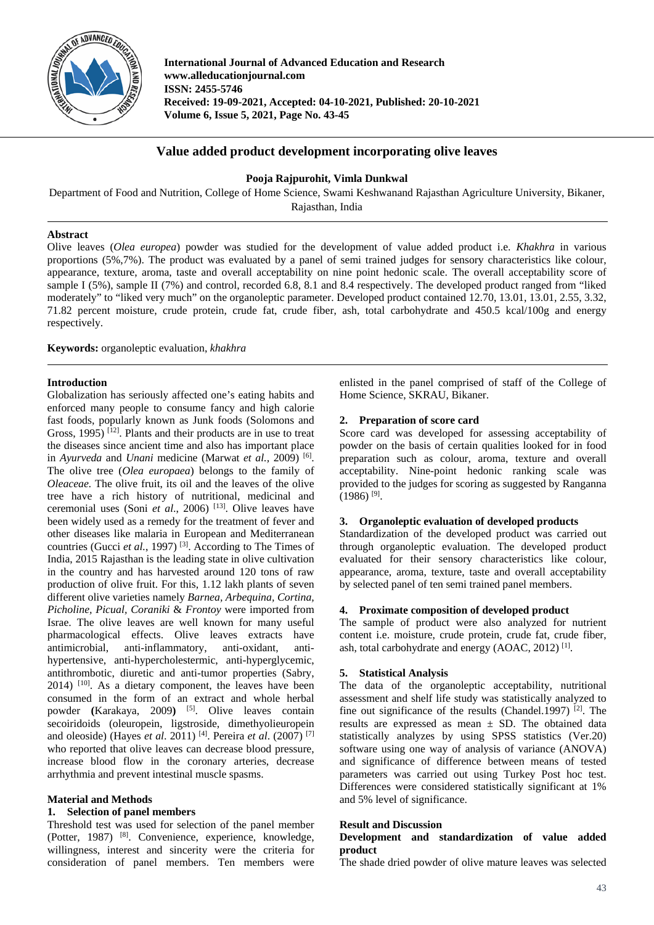

**International Journal of Advanced Education and Research www.alleducationjournal.com ISSN: 2455-5746 Received: 19-09-2021, Accepted: 04-10-2021, Published: 20-10-2021 Volume 6, Issue 5, 2021, Page No. 43-45**

# **Value added product development incorporating olive leaves**

### **Pooja Rajpurohit, Vimla Dunkwal**

Department of Food and Nutrition, College of Home Science, Swami Keshwanand Rajasthan Agriculture University, Bikaner, Rajasthan, India

## **Abstract**

Olive leaves (*Olea europea*) powder was studied for the development of value added product i.e. *Khakhra* in various proportions (5%,7%). The product was evaluated by a panel of semi trained judges for sensory characteristics like colour, appearance, texture, aroma, taste and overall acceptability on nine point hedonic scale. The overall acceptability score of sample I (5%), sample II (7%) and control, recorded 6.8, 8.1 and 8.4 respectively. The developed product ranged from "liked moderately" to "liked very much" on the organoleptic parameter. Developed product contained 12.70, 13.01, 13.01, 2.55, 3.32, 71.82 percent moisture, crude protein, crude fat, crude fiber, ash, total carbohydrate and 450.5 kcal/100g and energy respectively.

**Keywords:** organoleptic evaluation, *khakhra*

### **Introduction**

Globalization has seriously affected one's eating habits and enforced many people to consume fancy and high calorie fast foods, popularly known as Junk foods (Solomons and Gross,  $1995$ <sup>[12]</sup>. Plants and their products are in use to treat the diseases since ancient time and also has important place in *Ayurveda* and *Unani* medicine (Marwat *et al.,* 2009) [6]. The olive tree (*Olea europaea*) belongs to the family of *Oleaceae.* The olive fruit, its oil and the leaves of the olive tree have a rich history of nutritional, medicinal and ceremonial uses (Soni *et al*., 2006) [13]. Olive leaves have been widely used as a remedy for the treatment of fever and other diseases like malaria in European and Mediterranean countries (Gucci *et al.*, 1997)<sup>[3]</sup>. According to The Times of India, 2015 Rajasthan is the leading state in olive cultivation in the country and has harvested around 120 tons of raw production of olive fruit. For this, 1.12 lakh plants of seven different olive varieties namely *Barnea, Arbequina, Cortina, Picholine, Picual, Coraniki* & *Frontoy* were imported from Israe. The olive leaves are well known for many useful pharmacological effects. Olive leaves extracts have antimicrobial, anti-inflammatory, anti-oxidant, antihypertensive, anti-hypercholestermic, anti-hyperglycemic, antithrombotic, diuretic and anti-tumor properties (Sabry, 2014) [10]. As a dietary component, the leaves have been consumed in the form of an extract and whole herbal powder **(**Karakaya, 2009**)** [5]. Olive leaves contain secoiridoids (oleuropein, ligstroside, dimethyolieuropein and oleoside) (Hayes *et al*. 2011) [4]. Pereira *et al*. (2007) [7] who reported that olive leaves can decrease blood pressure, increase blood flow in the coronary arteries, decrease arrhythmia and prevent intestinal muscle spasms.

### **Material and Methods**

#### **1. Selection of panel members**

Threshold test was used for selection of the panel member (Potter, 1987) [8]. Convenience, experience, knowledge, willingness, interest and sincerity were the criteria for consideration of panel members. Ten members were enlisted in the panel comprised of staff of the College of Home Science, SKRAU, Bikaner.

#### **2. Preparation of score card**

Score card was developed for assessing acceptability of powder on the basis of certain qualities looked for in food preparation such as colour, aroma, texture and overall acceptability. Nine-point hedonic ranking scale was provided to the judges for scoring as suggested by Ranganna  $(1986)$ <sup>[9]</sup>.

#### **3. Organoleptic evaluation of developed products**

Standardization of the developed product was carried out through organoleptic evaluation. The developed product evaluated for their sensory characteristics like colour, appearance, aroma, texture, taste and overall acceptability by selected panel of ten semi trained panel members.

### **4. Proximate composition of developed product**

The sample of product were also analyzed for nutrient content i.e. moisture, crude protein, crude fat, crude fiber, ash, total carbohydrate and energy  $(AOAC, 2012)$ <sup>[1]</sup>.

### **5. Statistical Analysis**

The data of the organoleptic acceptability, nutritional assessment and shelf life study was statistically analyzed to fine out significance of the results (Chandel.1997)  $[2]$ . The results are expressed as mean  $\pm$  SD. The obtained data statistically analyzes by using SPSS statistics (Ver.20) software using one way of analysis of variance (ANOVA) and significance of difference between means of tested parameters was carried out using Turkey Post hoc test. Differences were considered statistically significant at 1% and 5% level of significance.

## **Result and Discussion**

### **Development and standardization of value added product**

The shade dried powder of olive mature leaves was selected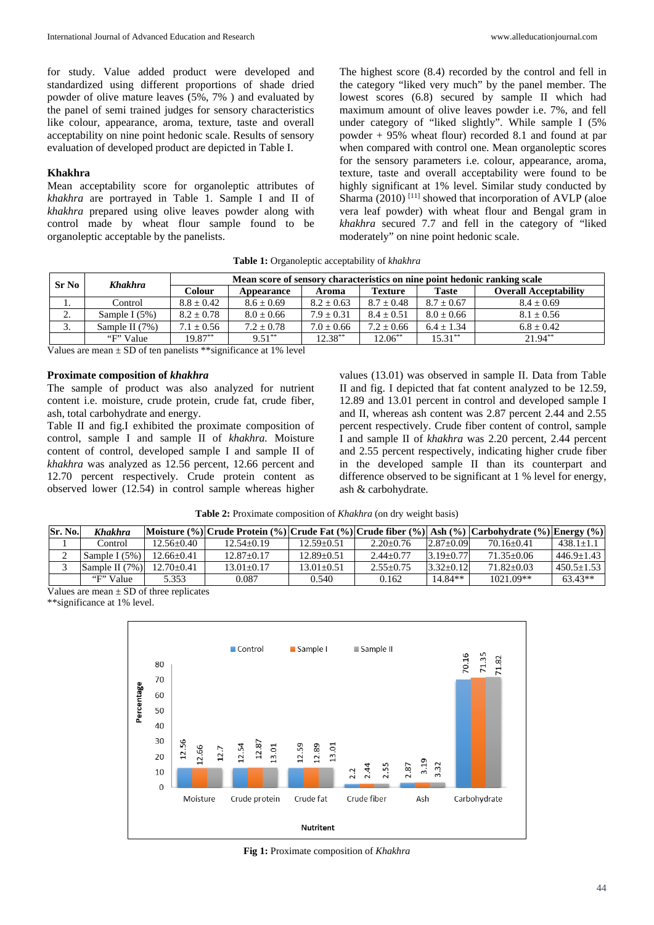for study. Value added product were developed and standardized using different proportions of shade dried powder of olive mature leaves (5%, 7% ) and evaluated by the panel of semi trained judges for sensory characteristics like colour, appearance, aroma, texture, taste and overall acceptability on nine point hedonic scale. Results of sensory evaluation of developed product are depicted in Table I.

#### **Khakhra**

Mean acceptability score for organoleptic attributes of *khakhra* are portrayed in Table 1. Sample I and II of *khakhra* prepared using olive leaves powder along with control made by wheat flour sample found to be organoleptic acceptable by the panelists.

The highest score (8.4) recorded by the control and fell in the category "liked very much" by the panel member. The lowest scores (6.8) secured by sample II which had maximum amount of olive leaves powder i.e. 7%, and fell under category of "liked slightly". While sample I (5% powder + 95% wheat flour) recorded 8.1 and found at par when compared with control one. Mean organoleptic scores for the sensory parameters i.e. colour, appearance, aroma, texture, taste and overall acceptability were found to be highly significant at 1% level. Similar study conducted by Sharma  $(2010)$ <sup>[11]</sup> showed that incorporation of AVLP (aloe vera leaf powder) with wheat flour and Bengal gram in *khakhra* secured 7.7 and fell in the category of "liked moderately" on nine point hedonic scale.

**Table 1:** Organoleptic acceptability of *khakhra*

| Sr No              | <b>Khakhra</b>   | Mean score of sensory characteristics on nine point hedonic ranking scale |                |                |                |                |                              |  |
|--------------------|------------------|---------------------------------------------------------------------------|----------------|----------------|----------------|----------------|------------------------------|--|
|                    |                  | Colour                                                                    | Appearance     | Aroma          | <b>Texture</b> | <b>Taste</b>   | <b>Overall Acceptability</b> |  |
| . .                | Control          | $8.8 \pm 0.42$                                                            | $8.6 \pm 0.69$ | $8.2 \pm 0.63$ | $8.7 \pm 0.48$ | $8.7 \pm 0.67$ | $8.4 \pm 0.69$               |  |
| $\sim$<br><u>.</u> | Sample I $(5%)$  | $8.2 \pm 0.78$                                                            | $8.0 \pm 0.66$ | $7.9 \pm 0.31$ | $8.4 \pm 0.51$ | $8.0 \pm 0.66$ | $8.1 \pm 0.56$               |  |
| 3.                 | Sample II $(7%)$ | $7.1 \pm 0.56$                                                            | $7.2 \pm 0.78$ | $7.0 \pm 0.66$ | $7.2 \pm 0.66$ | $6.4 + 1.34$   | $6.8 \pm 0.42$               |  |
|                    | "F" Value        | $19.87**$                                                                 | $9.51***$      | $12.38***$     | $12.06***$     | $15.31***$     | $21.94**$                    |  |

Values are mean  $\pm$  SD of ten panelists \*\*significance at 1% level

#### **Proximate composition of** *khakhra*

The sample of product was also analyzed for nutrient content i.e. moisture, crude protein, crude fat, crude fiber, ash, total carbohydrate and energy.

Table II and fig.I exhibited the proximate composition of control, sample I and sample II of *khakhra.* Moisture content of control, developed sample I and sample II of *khakhra* was analyzed as 12.56 percent, 12.66 percent and 12.70 percent respectively. Crude protein content as observed lower (12.54) in control sample whereas higher

values (13.01) was observed in sample II. Data from Table II and fig. I depicted that fat content analyzed to be 12.59, 12.89 and 13.01 percent in control and developed sample I and II, whereas ash content was 2.87 percent 2.44 and 2.55 percent respectively. Crude fiber content of control, sample I and sample II of *khakhra* was 2.20 percent, 2.44 percent and 2.55 percent respectively, indicating higher crude fiber in the developed sample II than its counterpart and difference observed to be significant at 1 % level for energy, ash & carbohydrate.

| Table 2: Proximate composition of Khakhra (on dry weight basis) |  |
|-----------------------------------------------------------------|--|
|-----------------------------------------------------------------|--|

| Sr. No. | Khakhra          |                | Moisture (%) Crude Protein (%) Crude Fat (%) Crude fiber (%) Ash (%) Carbohydrate (%) Energy (%) |                |               |               |                |                |
|---------|------------------|----------------|--------------------------------------------------------------------------------------------------|----------------|---------------|---------------|----------------|----------------|
|         | Control          | $12.56 + 0.40$ | $12.54 + 0.19$                                                                                   | $12.59 + 0.51$ | $2.20 + 0.76$ | $2.87+0.09$   | $70.16 + 0.41$ | $438.1 + 1.1$  |
|         | Sample I $(5\%)$ | $12.66 + 0.41$ | $12.87 + 0.17$                                                                                   | $12.89 + 0.51$ | $2.44+0.77$   | $3.19 + 0.77$ | $71.35 + 0.06$ | $446.9+1.43$   |
|         | Sample II $(7%)$ | $12.70 + 0.41$ | $13.01 + 0.17$                                                                                   | $13.01 + 0.51$ | $2.55+0.75$   | $3.32+0.12$   | $71.82 + 0.03$ | $450.5 + 1.53$ |
|         | "F" Value        | 5.353          | 0.087                                                                                            | 0.540          | 0.162         | $14.84**$     | $1021.09**$    | $63.43**$      |

Values are mean  $\pm$  SD of three replicates

\*\*significance at 1% level.



**Fig 1:** Proximate composition of *Khakhra*